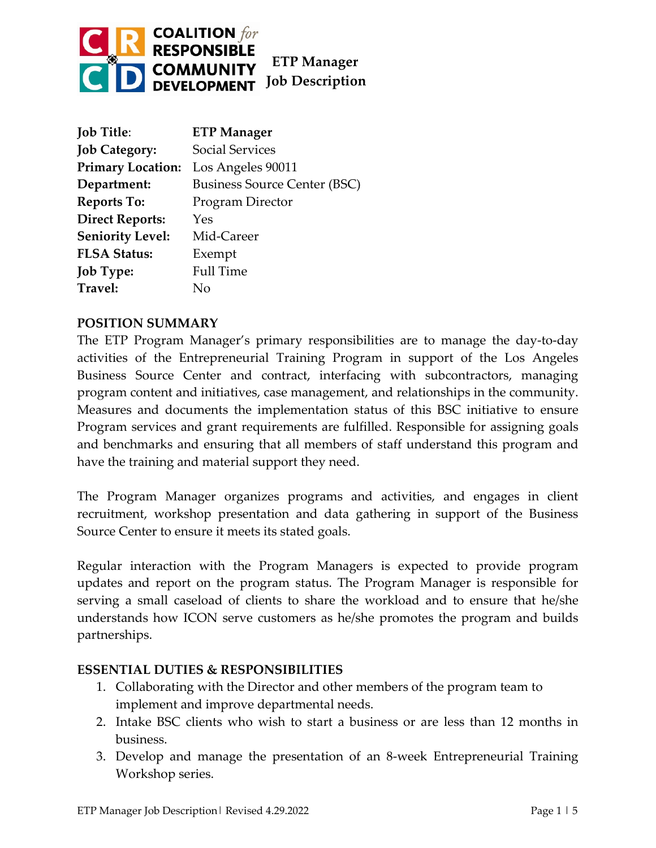

| <b>Job Title:</b>        | <b>ETP Manager</b>                  |
|--------------------------|-------------------------------------|
| <b>Job Category:</b>     | <b>Social Services</b>              |
| <b>Primary Location:</b> | Los Angeles 90011                   |
| Department:              | <b>Business Source Center (BSC)</b> |
| <b>Reports To:</b>       | Program Director                    |
| <b>Direct Reports:</b>   | Yes                                 |
| <b>Seniority Level:</b>  | Mid-Career                          |
| <b>FLSA Status:</b>      | Exempt                              |
| <b>Job Type:</b>         | <b>Full Time</b>                    |
| Travel:                  | Nο                                  |

## **POSITION SUMMARY**

The ETP Program Manager's primary responsibilities are to manage the day-to-day activities of the Entrepreneurial Training Program in support of the Los Angeles Business Source Center and contract, interfacing with subcontractors, managing program content and initiatives, case management, and relationships in the community. Measures and documents the implementation status of this BSC initiative to ensure Program services and grant requirements are fulfilled. Responsible for assigning goals and benchmarks and ensuring that all members of staff understand this program and have the training and material support they need.

The Program Manager organizes programs and activities, and engages in client recruitment, workshop presentation and data gathering in support of the Business Source Center to ensure it meets its stated goals.

Regular interaction with the Program Managers is expected to provide program updates and report on the program status. The Program Manager is responsible for serving a small caseload of clients to share the workload and to ensure that he/she understands how ICON serve customers as he/she promotes the program and builds partnerships.

# **ESSENTIAL DUTIES & RESPONSIBILITIES**

- 1. Collaborating with the Director and other members of the program team to implement and improve departmental needs.
- 2. Intake BSC clients who wish to start a business or are less than 12 months in business.
- 3. Develop and manage the presentation of an 8-week Entrepreneurial Training Workshop series.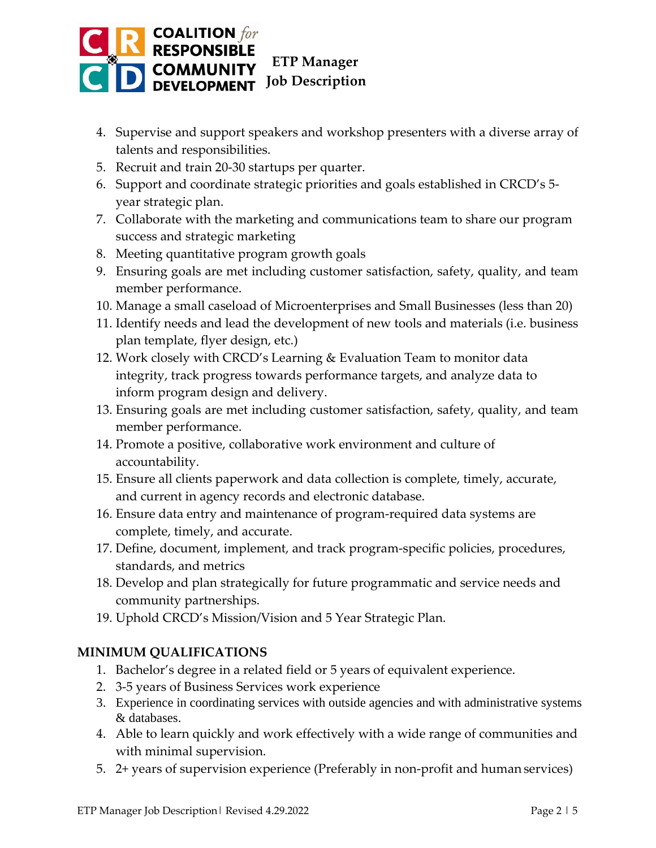

- 4. Supervise and support speakers and workshop presenters with a diverse array of talents and responsibilities.
- 5. Recruit and train 20-30 startups per quarter.
- 6. Support and coordinate strategic priorities and goals established in CRCD's 5 year strategic plan.
- 7. Collaborate with the marketing and communications team to share our program success and strategic marketing
- 8. Meeting quantitative program growth goals
- 9. Ensuring goals are met including customer satisfaction, safety, quality, and team member performance.
- 10. Manage a small caseload of Microenterprises and Small Businesses (less than 20)
- 11. Identify needs and lead the development of new tools and materials (i.e. business plan template, flyer design, etc.)
- 12. Work closely with CRCD's Learning & Evaluation Team to monitor data integrity, track progress towards performance targets, and analyze data to inform program design and delivery.
- 13. Ensuring goals are met including customer satisfaction, safety, quality, and team member performance.
- 14. Promote a positive, collaborative work environment and culture of accountability.
- 15. Ensure all clients paperwork and data collection is complete, timely, accurate, and current in agency records and electronic database.
- 16. Ensure data entry and maintenance of program-required data systems are complete, timely, and accurate.
- 17. Define, document, implement, and track program-specific policies, procedures, standards, and metrics
- 18. Develop and plan strategically for future programmatic and service needs and community partnerships.
- 19. Uphold CRCD's Mission/Vision and 5 Year Strategic Plan.

# **MINIMUM QUALIFICATIONS**

- 1. Bachelor's degree in a related field or 5 years of equivalent experience.
- 2. 3-5 years of Business Services work experience
- 3. Experience in coordinating services with outside agencies and with administrative systems & databases.
- 4. Able to learn quickly and work effectively with a wide range of communities and with minimal supervision.
- 5. 2+ years of supervision experience (Preferably in non-profit and human services)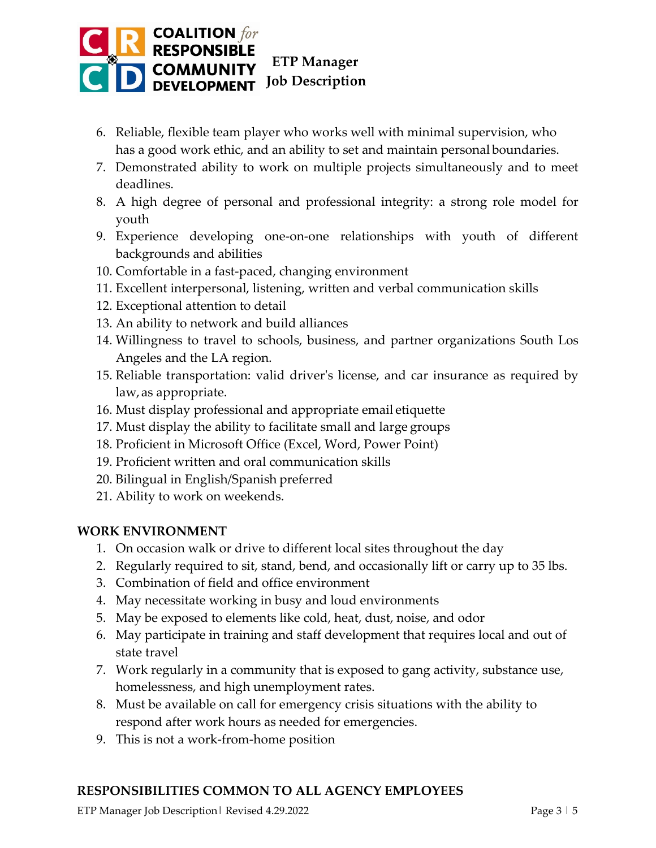

- 6. Reliable, flexible team player who works well with minimal supervision, who has a good work ethic, and an ability to set and maintain personal boundaries.
- 7. Demonstrated ability to work on multiple projects simultaneously and to meet deadlines.
- 8. A high degree of personal and professional integrity: a strong role model for youth
- 9. Experience developing one-on-one relationships with youth of different backgrounds and abilities
- 10. Comfortable in a fast-paced, changing environment
- 11. Excellent interpersonal, listening, written and verbal communication skills
- 12. Exceptional attention to detail
- 13. An ability to network and build alliances
- 14. Willingness to travel to schools, business, and partner organizations South Los Angeles and the LA region.
- 15. Reliable transportation: valid driver's license, and car insurance as required by law,as appropriate.
- 16. Must display professional and appropriate email etiquette
- 17. Must display the ability to facilitate small and large groups
- 18. Proficient in Microsoft Office (Excel, Word, Power Point)
- 19. Proficient written and oral communication skills
- 20. Bilingual in English/Spanish preferred
- 21. Ability to work on weekends.

# **WORK ENVIRONMENT**

- 1. On occasion walk or drive to different local sites throughout the day
- 2. Regularly required to sit, stand, bend, and occasionally lift or carry up to 35 lbs.
- 3. Combination of field and office environment
- 4. May necessitate working in busy and loud environments
- 5. May be exposed to elements like cold, heat, dust, noise, and odor
- 6. May participate in training and staff development that requires local and out of state travel
- 7. Work regularly in a community that is exposed to gang activity, substance use, homelessness, and high unemployment rates.
- 8. Must be available on call for emergency crisis situations with the ability to respond after work hours as needed for emergencies.
- 9. This is not a work-from-home position

# **RESPONSIBILITIES COMMON TO ALL AGENCY EMPLOYEES**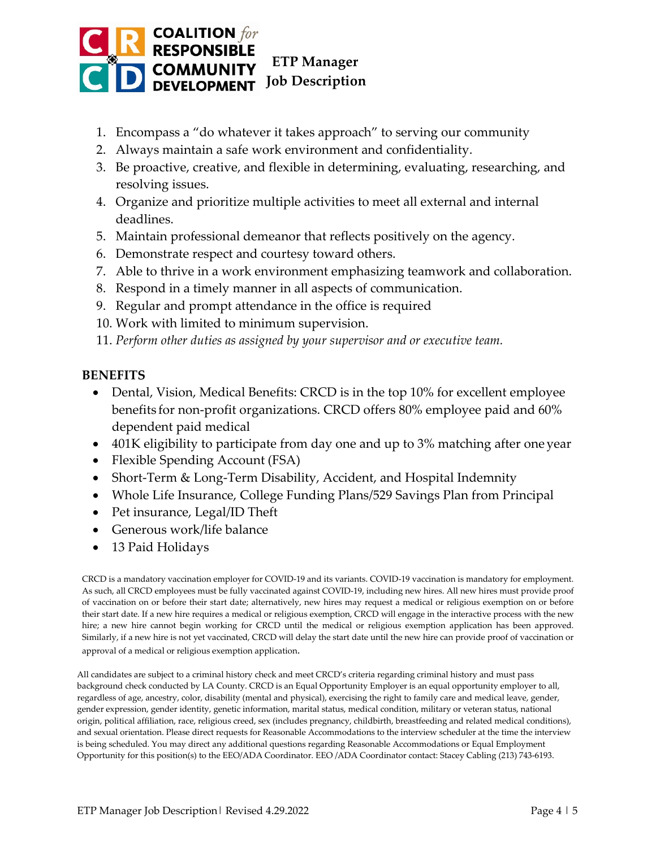

- 1. Encompass a "do whatever it takes approach" to serving our community
- 2. Always maintain a safe work environment and confidentiality.
- 3. Be proactive, creative, and flexible in determining, evaluating, researching, and resolving issues.
- 4. Organize and prioritize multiple activities to meet all external and internal deadlines.
- 5. Maintain professional demeanor that reflects positively on the agency.
- 6. Demonstrate respect and courtesy toward others.
- 7. Able to thrive in a work environment emphasizing teamwork and collaboration.
- 8. Respond in a timely manner in all aspects of communication.
- 9. Regular and prompt attendance in the office is required
- 10. Work with limited to minimum supervision.
- 11. *Perform other duties as assigned by your supervisor and or executive team.*

# **BENEFITS**

- Dental, Vision, Medical Benefits: CRCD is in the top 10% for excellent employee benefits for non-profit organizations. CRCD offers 80% employee paid and 60% dependent paid medical
- 401K eligibility to participate from day one and up to 3% matching after one year
- Flexible Spending Account (FSA)
- Short-Term & Long-Term Disability, Accident, and Hospital Indemnity
- Whole Life Insurance, College Funding Plans/529 Savings Plan from Principal
- Pet insurance, Legal/ID Theft
- Generous work/life balance
- 13 Paid Holidays

CRCD is a mandatory vaccination employer for COVID-19 and its variants. COVID-19 vaccination is mandatory for employment. As such, all CRCD employees must be fully vaccinated against COVID-19, including new hires. All new hires must provide proof of vaccination on or before their start date; alternatively, new hires may request a medical or religious exemption on or before their start date. If a new hire requires a medical or religious exemption, CRCD will engage in the interactive process with the new hire; a new hire cannot begin working for CRCD until the medical or religious exemption application has been approved. Similarly, if a new hire is not yet vaccinated, CRCD will delay the start date until the new hire can provide proof of vaccination or approval of a medical or religious exemption application.

All candidates are subject to a criminal history check and meet CRCD's criteria regarding criminal history and must pass background check conducted by LA County. CRCD is an Equal Opportunity Employer is an equal opportunity employer to all, regardless of age, ancestry, color, disability (mental and physical), exercising the right to family care and medical leave, gender, gender expression, gender identity, genetic information, marital status, medical condition, military or veteran status, national origin, political affiliation, race, religious creed, sex (includes pregnancy, childbirth, breastfeeding and related medical conditions), and sexual orientation. Please direct requests for Reasonable Accommodations to the interview scheduler at the time the interview is being scheduled. You may direct any additional questions regarding Reasonable Accommodations or Equal Employment Opportunity for this position(s) to the EEO/ADA Coordinator. EEO /ADA Coordinator contact: Stacey Cabling (213) 743-6193.